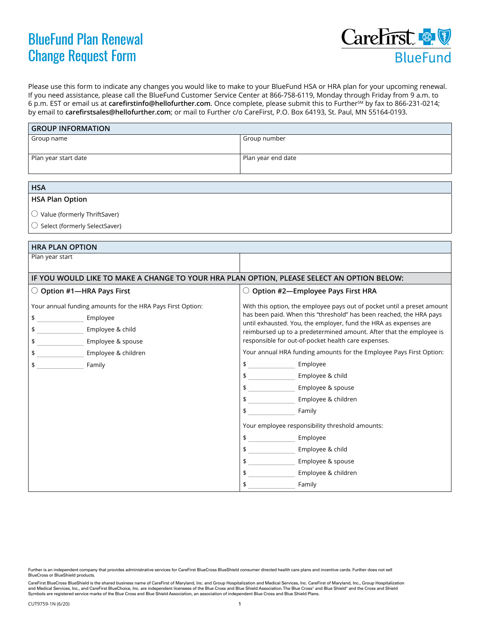## BlueFund Plan Renewal Change Request Form



Please use this form to indicate any changes you would like to make to your BlueFund HSA or HRA plan for your upcoming renewal. If you need assistance, please call the BlueFund Customer Service Center at 866-758-6119, Monday through Friday from 9 a.m. to 6 p.m. EST or email us at **[carefirstinfo@hellofurther.com](mailto:carefirstinfo@hellofurther.com)**. Once complete, please submit this to FurtherSM by fax to 866-231-0214; by email to **[carefirstsales@hellofurther.com](mailto:carefirstsales@hellofurther.com)**; or mail to Further c/o CareFirst, P.O. Box 64193, St. Paul, MN 55164-0193.

| <b>GROUP INFORMATION</b>                                                                                                                                                                  |                                                                                                                                                                                                                                                                                                                                                                                                                                                                                                                                                                                                                                                                                                                                                                                                                           |
|-------------------------------------------------------------------------------------------------------------------------------------------------------------------------------------------|---------------------------------------------------------------------------------------------------------------------------------------------------------------------------------------------------------------------------------------------------------------------------------------------------------------------------------------------------------------------------------------------------------------------------------------------------------------------------------------------------------------------------------------------------------------------------------------------------------------------------------------------------------------------------------------------------------------------------------------------------------------------------------------------------------------------------|
| Group name                                                                                                                                                                                | Group number                                                                                                                                                                                                                                                                                                                                                                                                                                                                                                                                                                                                                                                                                                                                                                                                              |
| Plan year start date                                                                                                                                                                      | Plan year end date                                                                                                                                                                                                                                                                                                                                                                                                                                                                                                                                                                                                                                                                                                                                                                                                        |
|                                                                                                                                                                                           |                                                                                                                                                                                                                                                                                                                                                                                                                                                                                                                                                                                                                                                                                                                                                                                                                           |
| <b>HSA</b>                                                                                                                                                                                |                                                                                                                                                                                                                                                                                                                                                                                                                                                                                                                                                                                                                                                                                                                                                                                                                           |
| <b>HSA Plan Option</b>                                                                                                                                                                    |                                                                                                                                                                                                                                                                                                                                                                                                                                                                                                                                                                                                                                                                                                                                                                                                                           |
| $\bigcirc$ Value (formerly ThriftSaver)                                                                                                                                                   |                                                                                                                                                                                                                                                                                                                                                                                                                                                                                                                                                                                                                                                                                                                                                                                                                           |
| $\bigcirc$ Select (formerly SelectSaver)                                                                                                                                                  |                                                                                                                                                                                                                                                                                                                                                                                                                                                                                                                                                                                                                                                                                                                                                                                                                           |
|                                                                                                                                                                                           |                                                                                                                                                                                                                                                                                                                                                                                                                                                                                                                                                                                                                                                                                                                                                                                                                           |
| <b>HRA PLAN OPTION</b>                                                                                                                                                                    |                                                                                                                                                                                                                                                                                                                                                                                                                                                                                                                                                                                                                                                                                                                                                                                                                           |
| Plan year start                                                                                                                                                                           |                                                                                                                                                                                                                                                                                                                                                                                                                                                                                                                                                                                                                                                                                                                                                                                                                           |
| IF YOU WOULD LIKE TO MAKE A CHANGE TO YOUR HRA PLAN OPTION, PLEASE SELECT AN OPTION BELOW:                                                                                                |                                                                                                                                                                                                                                                                                                                                                                                                                                                                                                                                                                                                                                                                                                                                                                                                                           |
| $\bigcirc$ Option #1-HRA Pays First                                                                                                                                                       | $\bigcirc$ Option #2—Employee Pays First HRA                                                                                                                                                                                                                                                                                                                                                                                                                                                                                                                                                                                                                                                                                                                                                                              |
| Your annual funding amounts for the HRA Pays First Option:<br>$\frac{1}{2}$<br>Employee<br>\$<br>Employee & child<br>\$<br>Employee & spouse<br>Employee & children<br>\$<br>Family<br>\$ | With this option, the employee pays out of pocket until a preset amount<br>has been paid. When this "threshold" has been reached, the HRA pays<br>until exhausted. You, the employer, fund the HRA as expenses are<br>reimbursed up to a predetermined amount. After that the employee is<br>responsible for out-of-pocket health care expenses.<br>Your annual HRA funding amounts for the Employee Pays First Option:<br>$\updownarrow$<br>Employee<br>\$ ________________________ Employee & child<br>$\updownarrow$<br>Employee & spouse<br>Employee & children<br>$\frac{1}{2}$<br>$\updownarrow$<br>Family<br>Your employee responsibility threshold amounts:<br>$\updownarrow$<br>Employee<br>$\frac{1}{2}$<br>Employee & child<br>Employee & spouse<br>\$<br>Employee & children<br>$\frac{1}{2}$<br>\$<br>Family |

Further is an independent company that provides administrative services for CareFirst BlueCross BlueShield consumer directed health care plans and incentive cards. Further does not sell BlueCross or BlueShield products.

CareFirst BlueCross BlueShield is the shared business name of CareFirst of Maryland, Inc. and Group Hospitalization and Medical Services, Inc. CareFirst of Maryland, Inc., Group Hospitalization and Medical Services, Inc., and CareFirst BlueChoice, Inc. are independent licensees of the Blue Cross and Blue Shield Association.The Blue Cross® and Blue Shield® and the Cross and Shield<br>Symbols are registered service ma